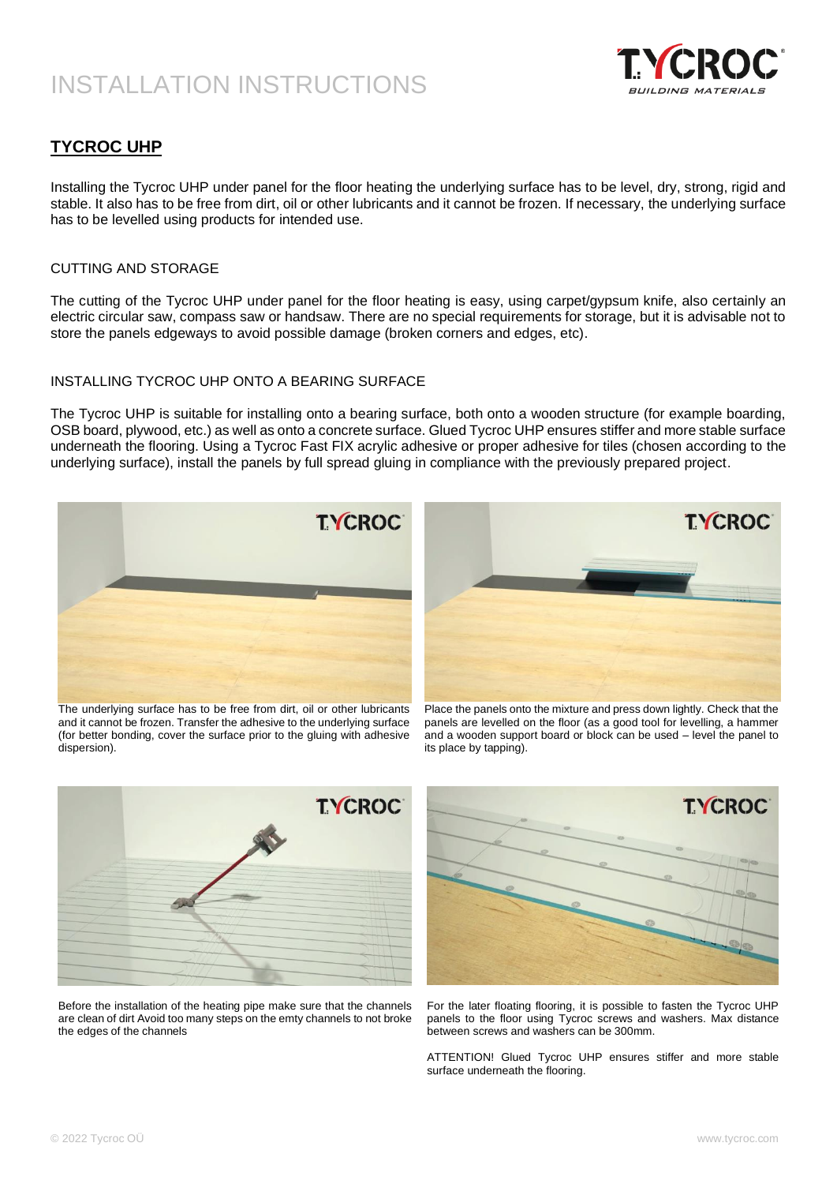

### **TYCROC UHP**

Installing the Tycroc UHP under panel for the floor heating the underlying surface has to be level, dry, strong, rigid and stable. It also has to be free from dirt, oil or other lubricants and it cannot be frozen. If necessary, the underlying surface has to be levelled using products for intended use.

#### CUTTING AND STORAGE

The cutting of the Tycroc UHP under panel for the floor heating is easy, using carpet/gypsum knife, also certainly an electric circular saw, compass saw or handsaw. There are no special requirements for storage, but it is advisable not to store the panels edgeways to avoid possible damage (broken corners and edges, etc).

### INSTALLING TYCROC UHP ONTO A BEARING SURFACE

The Tycroc UHP is suitable for installing onto a bearing surface, both onto a wooden structure (for example boarding, OSB board, plywood, etc.) as well as onto a concrete surface. Glued Tycroc UHP ensures stiffer and more stable surface underneath the flooring. Using a Tycroc Fast FIX acrylic adhesive or proper adhesive for tiles (chosen according to the underlying surface), install the panels by full spread gluing in compliance with the previously prepared project.



The underlying surface has to be free from dirt, oil or other lubricants and it cannot be frozen. Transfer the adhesive to the underlying surface (for better bonding, cover the surface prior to the gluing with adhesive dispersion).



Place the panels onto the mixture and press down lightly. Check that the panels are levelled on the floor (as a good tool for levelling, a hammer and a wooden support board or block can be used – level the panel to its place by tapping).



Before the installation of the heating pipe make sure that the channels are clean of dirt Avoid too many steps on the emty channels to not broke



For the later floating flooring, it is possible to fasten the Tycroc UHP panels to the floor using Tycroc screws and washers. Max distance between screws and washers can be 300mm.

ATTENTION! Glued Tycroc UHP ensures stiffer and more stable surface underneath the flooring.

the edges of the channels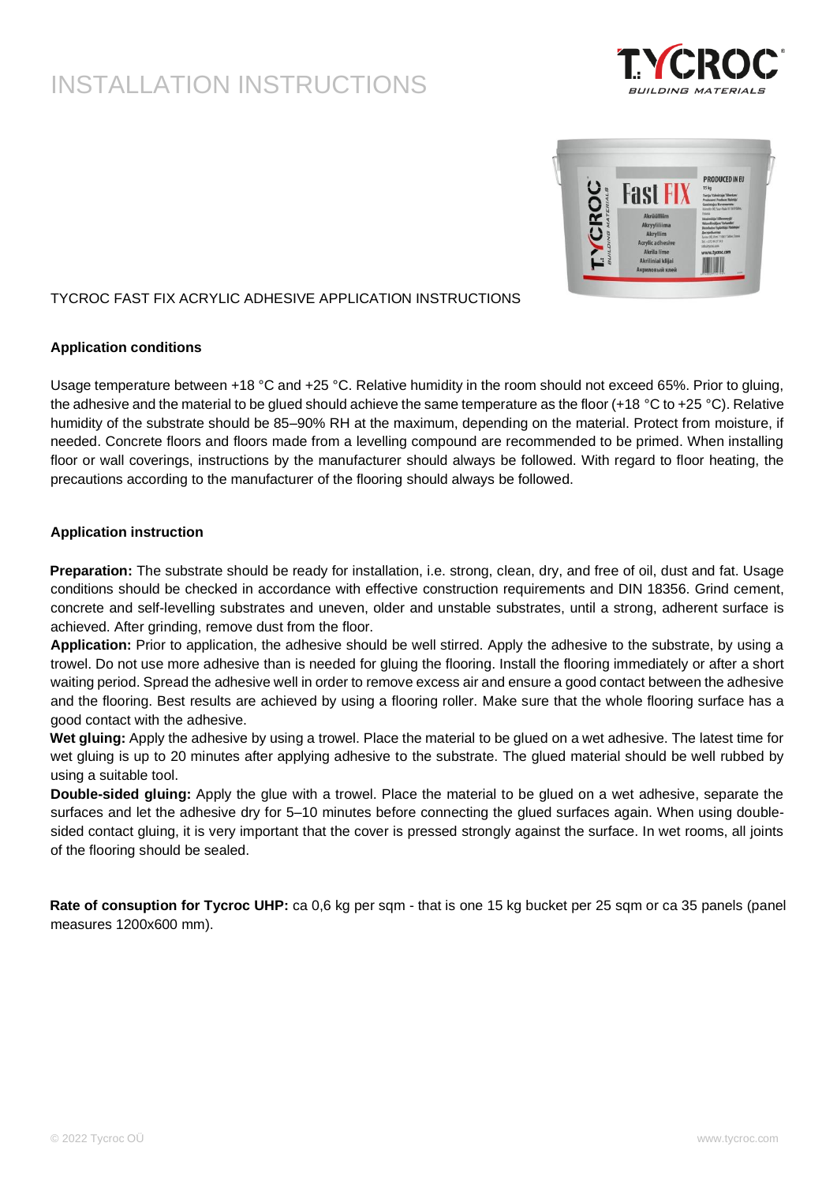



### TYCROC FAST FIX ACRYLIC ADHESIVE APPLICATION INSTRUCTIONS

### **Application conditions**

Usage temperature between +18 °C and +25 °C. Relative humidity in the room should not exceed 65%. Prior to gluing, the adhesive and the material to be glued should achieve the same temperature as the floor  $(+18 \degree C)$  to  $+25 \degree C)$ . Relative humidity of the substrate should be 85–90% RH at the maximum, depending on the material. Protect from moisture, if needed. Concrete floors and floors made from a levelling compound are recommended to be primed. When installing floor or wall coverings, instructions by the manufacturer should always be followed. With regard to floor heating, the precautions according to the manufacturer of the flooring should always be followed.

### **Application instruction**

**Preparation:** The substrate should be ready for installation, i.e. strong, clean, dry, and free of oil, dust and fat. Usage conditions should be checked in accordance with effective construction requirements and DIN 18356. Grind cement, concrete and self-levelling substrates and uneven, older and unstable substrates, until a strong, adherent surface is achieved. After grinding, remove dust from the floor.

**Application:** Prior to application, the adhesive should be well stirred. Apply the adhesive to the substrate, by using a trowel. Do not use more adhesive than is needed for gluing the flooring. Install the flooring immediately or after a short waiting period. Spread the adhesive well in order to remove excess air and ensure a good contact between the adhesive and the flooring. Best results are achieved by using a flooring roller. Make sure that the whole flooring surface has a good contact with the adhesive.

**Wet gluing:** Apply the adhesive by using a trowel. Place the material to be glued on a wet adhesive. The latest time for wet gluing is up to 20 minutes after applying adhesive to the substrate. The glued material should be well rubbed by using a suitable tool.

**Double-sided gluing:** Apply the glue with a trowel. Place the material to be glued on a wet adhesive, separate the surfaces and let the adhesive dry for 5–10 minutes before connecting the glued surfaces again. When using doublesided contact gluing, it is very important that the cover is pressed strongly against the surface. In wet rooms, all joints of the flooring should be sealed.

**Rate of consuption for Tycroc UHP:** ca 0,6 kg per sqm - that is one 15 kg bucket per 25 sqm or ca 35 panels (panel measures 1200x600 mm).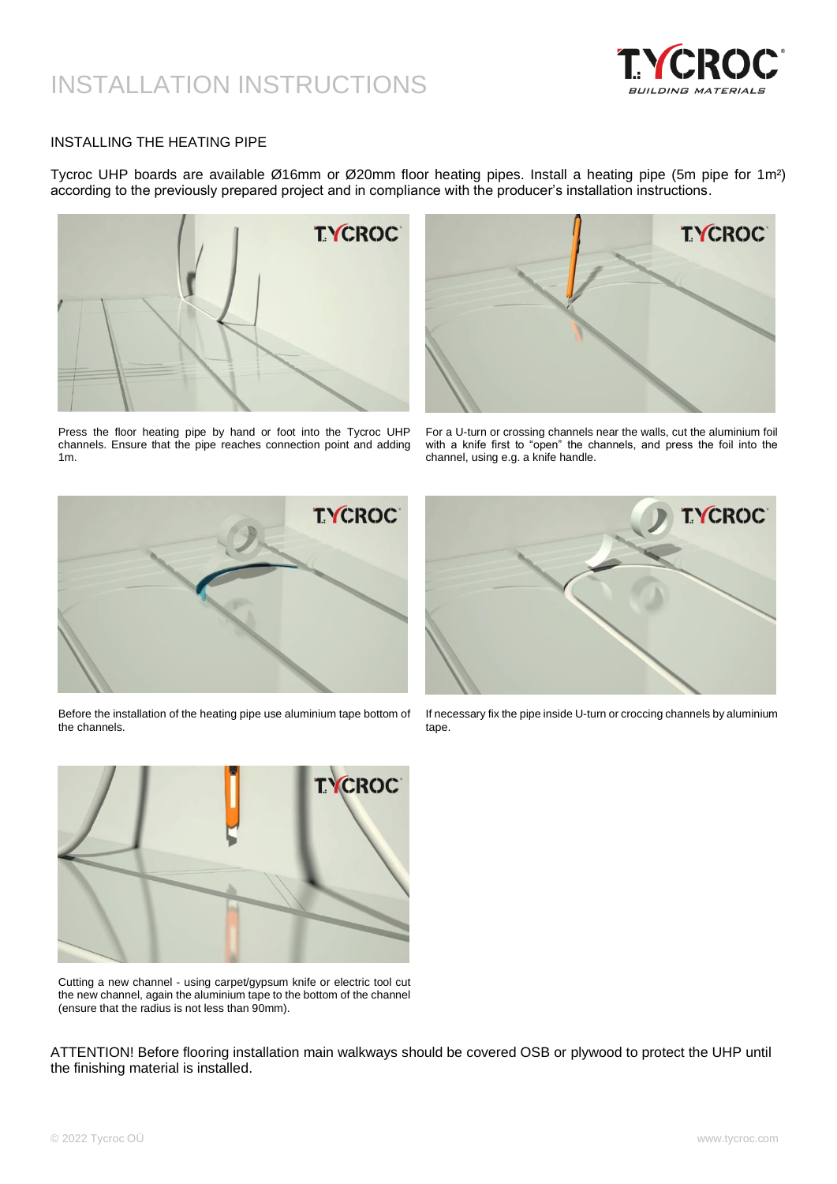

#### INSTALLING THE HEATING PIPE

Tycroc UHP boards are available Ø16mm or Ø20mm floor heating pipes. Install a heating pipe (5m pipe for 1m²) according to the previously prepared project and in compliance with the producer's installation instructions.



Press the floor heating pipe by hand or foot into the Tycroc UHP channels. Ensure that the pipe reaches connection point and adding 1m.



For a U-turn or crossing channels near the walls, cut the aluminium foil with a knife first to "open" the channels, and press the foil into the channel, using e.g. a knife handle.



Before the installation of the heating pipe use aluminium tape bottom of the channels.



If necessary fix the pipe inside U-turn or croccing channels by aluminium tape.



Cutting a new channel - using carpet/gypsum knife or electric tool cut the new channel, again the aluminium tape to the bottom of the channel (ensure that the radius is not less than 90mm).

ATTENTION! Before flooring installation main walkways should be covered OSB or plywood to protect the UHP until the finishing material is installed.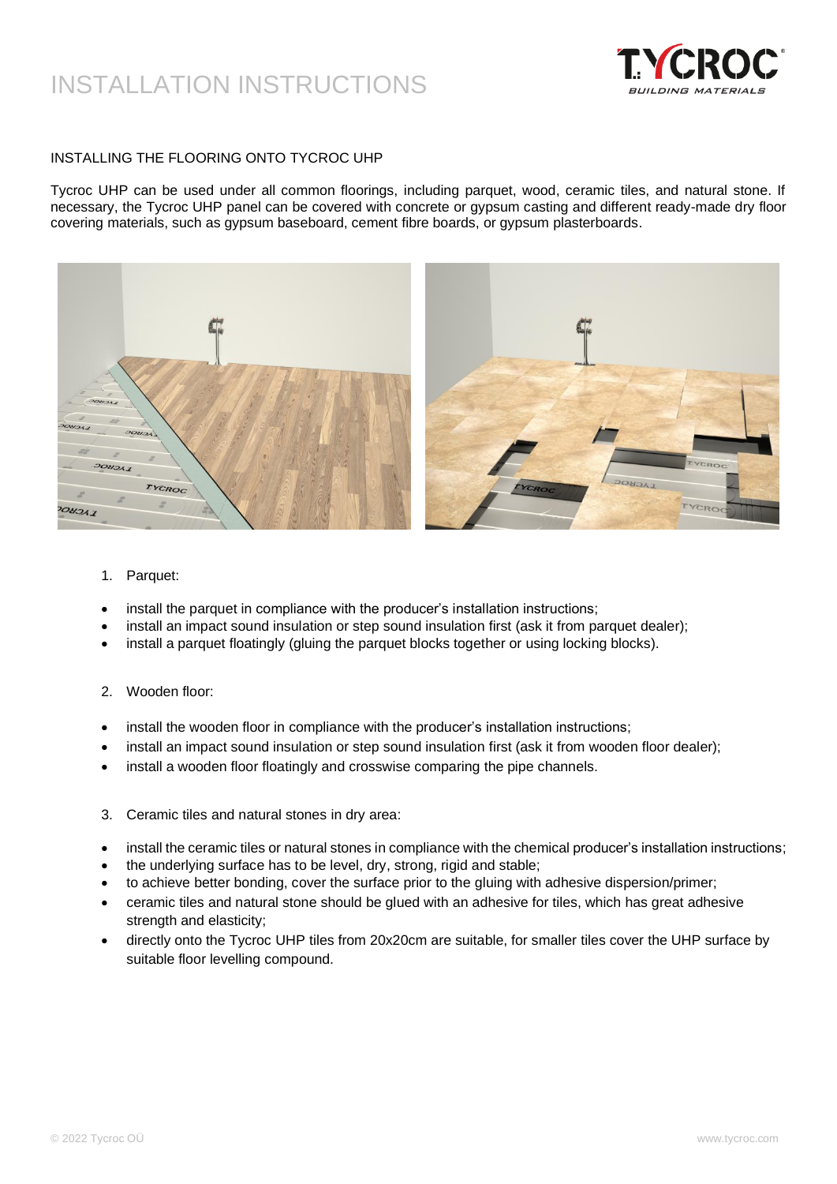

### INSTALLING THE FLOORING ONTO TYCROC UHP

Tycroc UHP can be used under all common floorings, including parquet, wood, ceramic tiles, and natural stone. If necessary, the Tycroc UHP panel can be covered with concrete or gypsum casting and different ready-made dry floor covering materials, such as gypsum baseboard, cement fibre boards, or gypsum plasterboards.



- 1. Parquet:
- install the parquet in compliance with the producer's installation instructions;
- install an impact sound insulation or step sound insulation first (ask it from parquet dealer);
- install a parquet floatingly (gluing the parquet blocks together or using locking blocks).
- 2. Wooden floor:
- install the wooden floor in compliance with the producer's installation instructions;
- install an impact sound insulation or step sound insulation first (ask it from wooden floor dealer);
- install a wooden floor floatingly and crosswise comparing the pipe channels.
- 3. Ceramic tiles and natural stones in dry area:
- install the ceramic tiles or natural stones in compliance with the chemical producer's installation instructions;
- the underlying surface has to be level, dry, strong, rigid and stable;
- to achieve better bonding, cover the surface prior to the gluing with adhesive dispersion/primer;
- ceramic tiles and natural stone should be glued with an adhesive for tiles, which has great adhesive strength and elasticity;
- directly onto the Tycroc UHP tiles from 20x20cm are suitable, for smaller tiles cover the UHP surface by suitable floor levelling compound.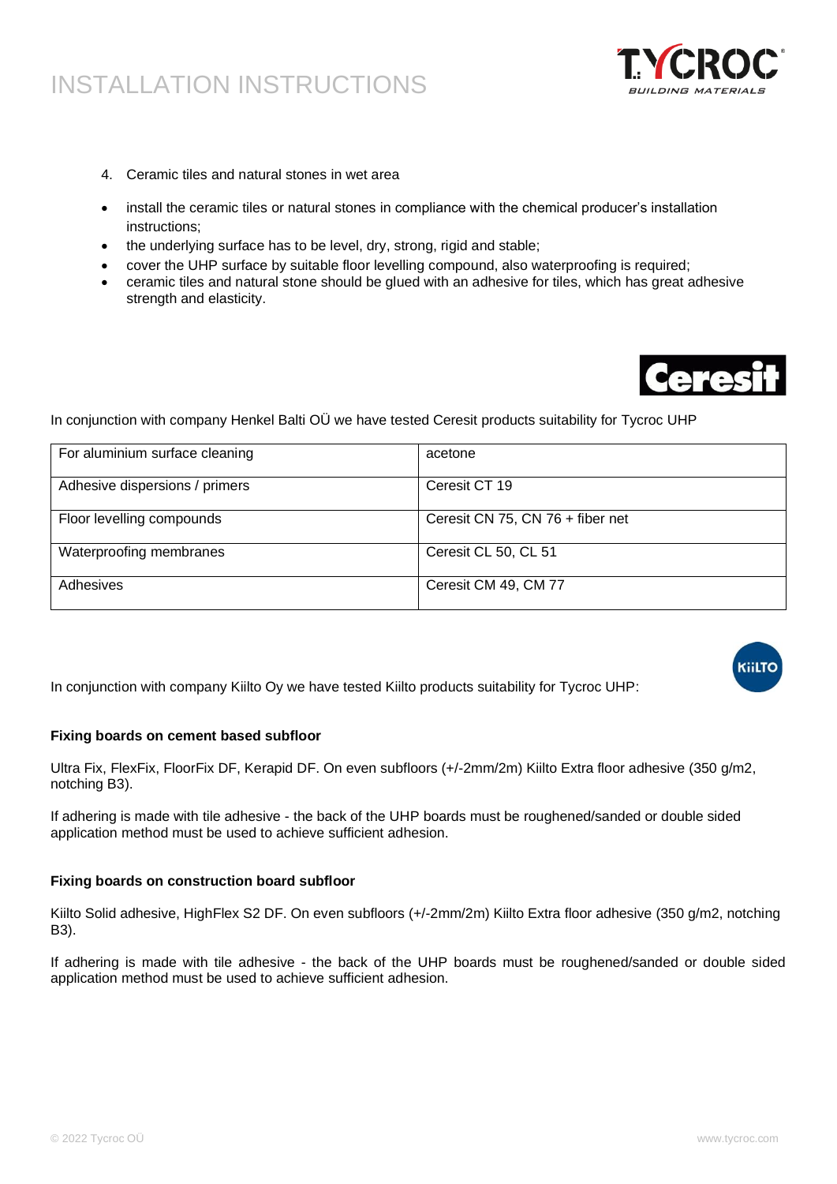- 4. Ceramic tiles and natural stones in wet area
- install the ceramic tiles or natural stones in compliance with the chemical producer's installation instructions;
- the underlying surface has to be level, dry, strong, rigid and stable;
- cover the UHP surface by suitable floor levelling compound, also waterproofing is required;
- ceramic tiles and natural stone should be glued with an adhesive for tiles, which has great adhesive strength and elasticity.



In conjunction with company Henkel Balti OÜ we have tested Ceresit products suitability for Tycroc UHP

| For aluminium surface cleaning | acetone                          |
|--------------------------------|----------------------------------|
| Adhesive dispersions / primers | Ceresit CT 19                    |
| Floor levelling compounds      | Ceresit CN 75, CN 76 + fiber net |
| Waterproofing membranes        | Ceresit CL 50, CL 51             |
| Adhesives                      | Ceresit CM 49, CM 77             |

In conjunction with company Kiilto Oy we have tested Kiilto products suitability for Tycroc UHP:

# **KiilTC**

### **Fixing boards on cement based subfloor**

Ultra Fix, FlexFix, FloorFix DF, Kerapid DF. On even subfloors (+/-2mm/2m) Kiilto Extra floor adhesive (350 g/m2, notching B3).

If adhering is made with tile adhesive - the back of the UHP boards must be roughened/sanded or double sided application method must be used to achieve sufficient adhesion.

### **Fixing boards on construction board subfloor**

Kiilto Solid adhesive, HighFlex S2 DF. On even subfloors (+/-2mm/2m) Kiilto Extra floor adhesive (350 g/m2, notching B3).

If adhering is made with tile adhesive - the back of the UHP boards must be roughened/sanded or double sided application method must be used to achieve sufficient adhesion.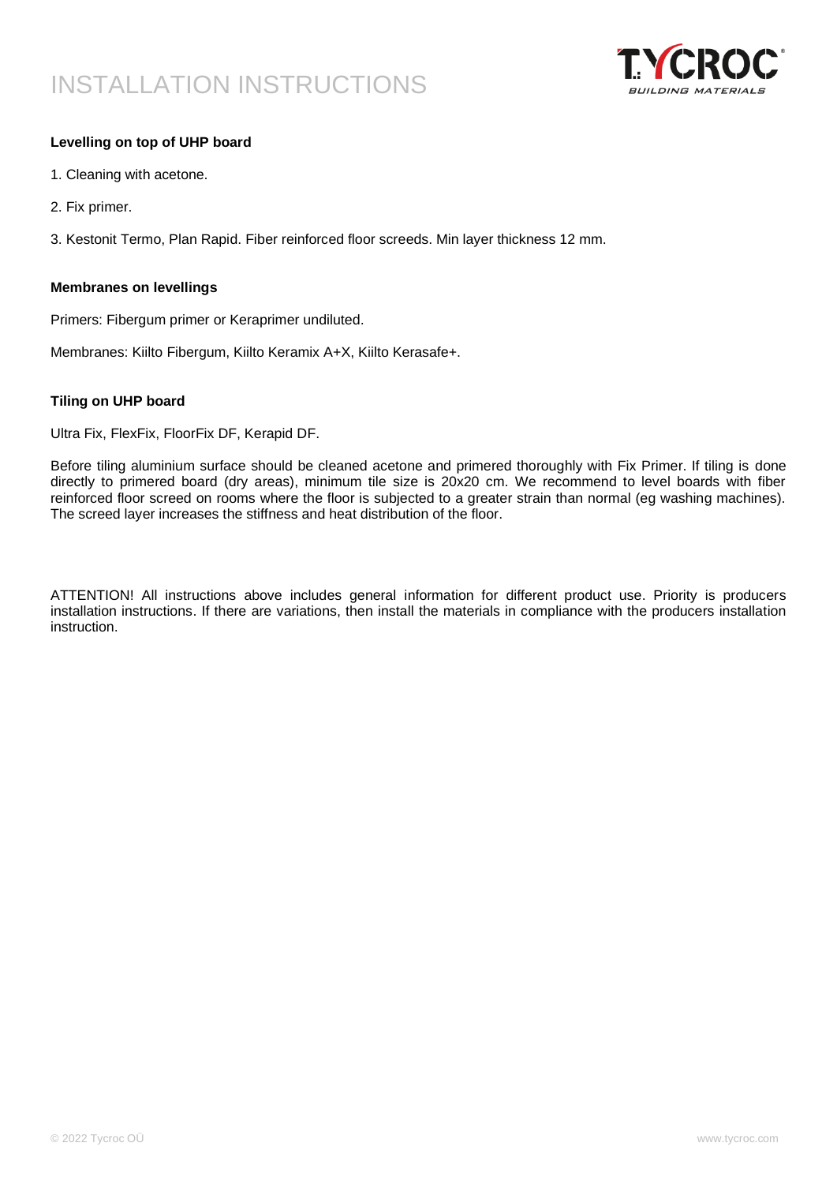

### **Levelling on top of UHP board**

- 1. Cleaning with acetone.
- 2. Fix primer.

3. Kestonit Termo, Plan Rapid. Fiber reinforced floor screeds. Min layer thickness 12 mm.

#### **Membranes on levellings**

Primers: Fibergum primer or Keraprimer undiluted.

Membranes: Kiilto Fibergum, Kiilto Keramix A+X, Kiilto Kerasafe+.

### **Tiling on UHP board**

Ultra Fix, FlexFix, FloorFix DF, Kerapid DF.

Before tiling aluminium surface should be cleaned acetone and primered thoroughly with Fix Primer. If tiling is done directly to primered board (dry areas), minimum tile size is 20x20 cm. We recommend to level boards with fiber reinforced floor screed on rooms where the floor is subjected to a greater strain than normal (eg washing machines). The screed layer increases the stiffness and heat distribution of the floor.

ATTENTION! All instructions above includes general information for different product use. Priority is producers installation instructions. If there are variations, then install the materials in compliance with the producers installation instruction.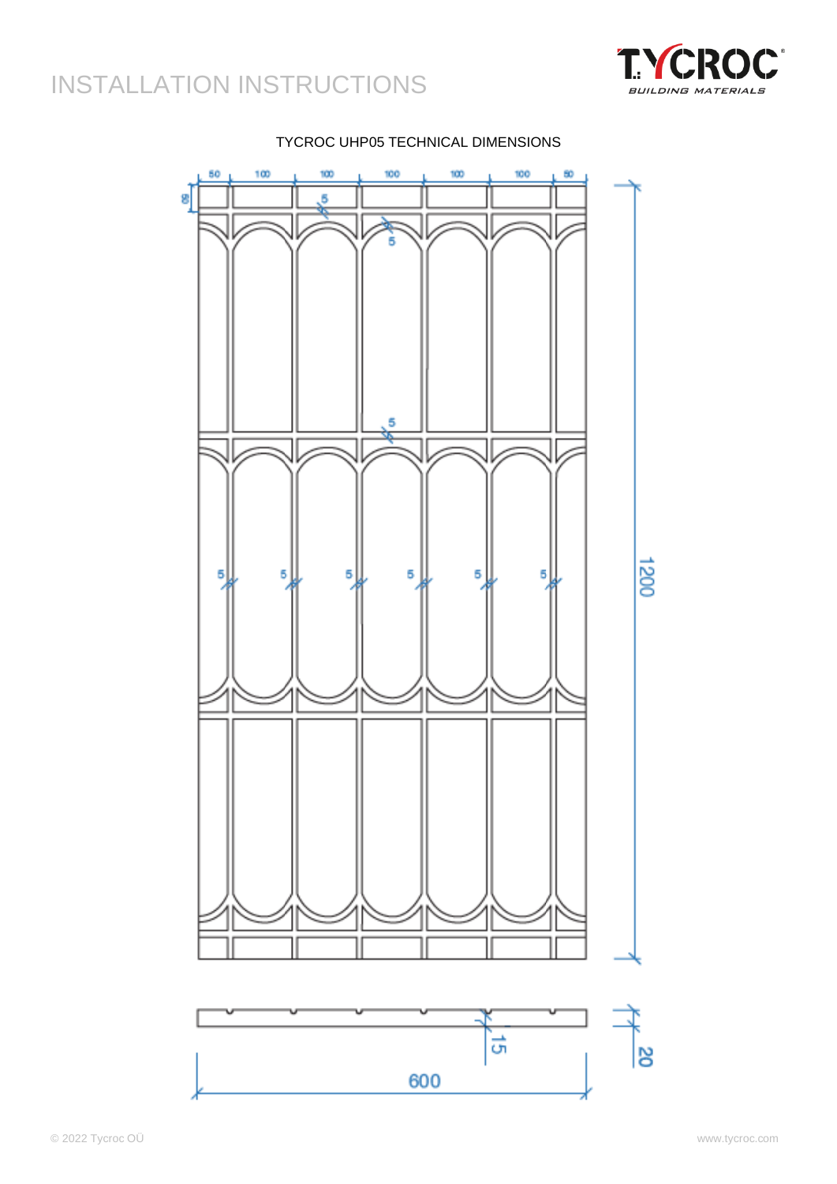



### TYCROC UHP05 TECHNICAL DIMENSIONS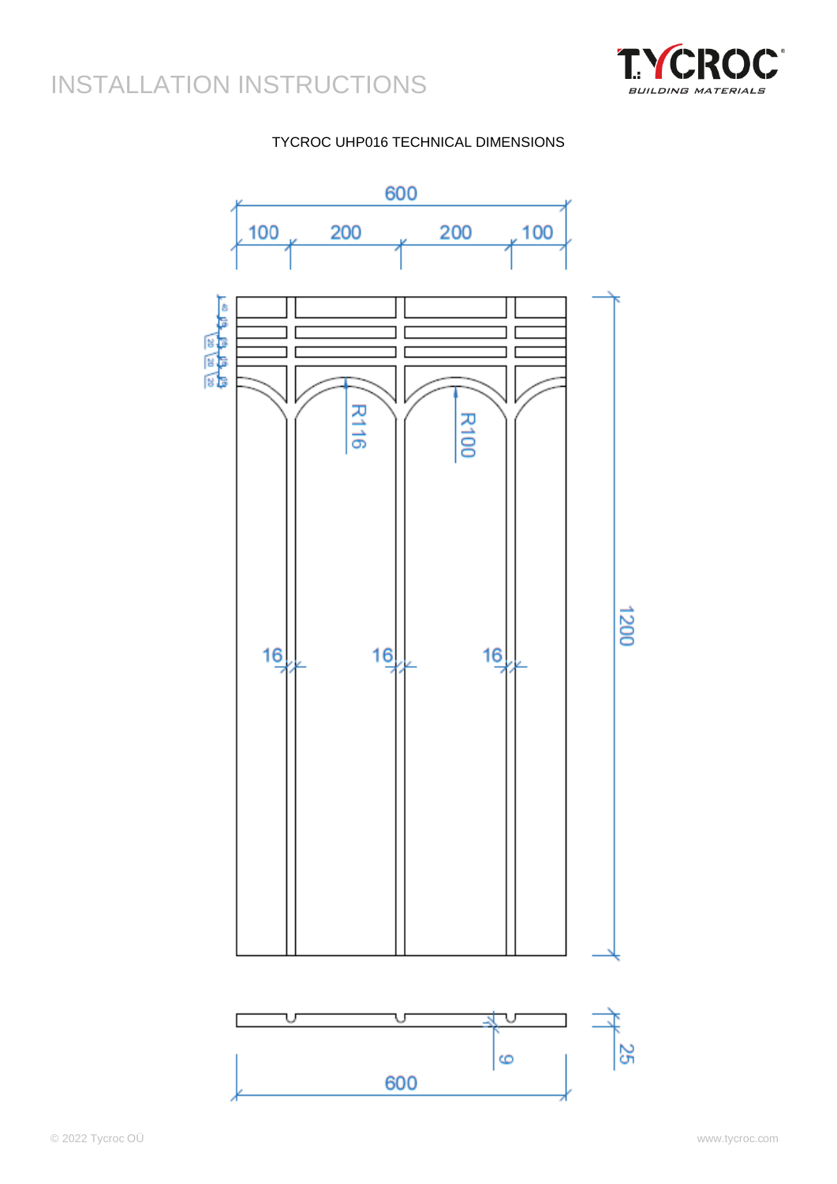

### TYCROC UHP016 TECHNICAL DIMENSIONS